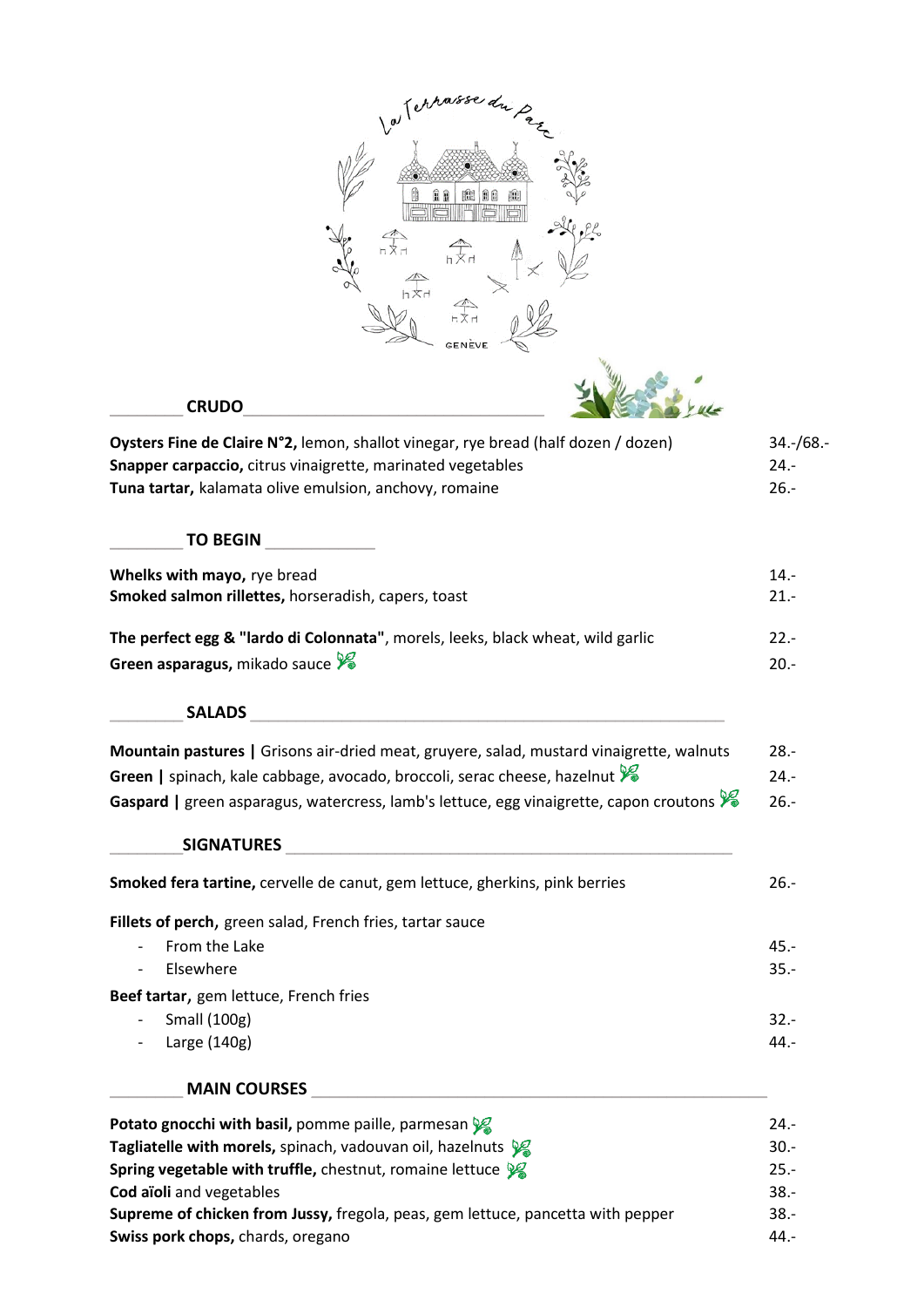| a Terrasse du Pa                                                                                                                                                                                            |                                   |
|-------------------------------------------------------------------------------------------------------------------------------------------------------------------------------------------------------------|-----------------------------------|
| $\begin{matrix} \mathbb{R} & \mathbb{R} \\ \mathbb{R} & \mathbb{R} \\ \mathbb{R} & \mathbb{R} \end{matrix}$                                                                                                 |                                   |
| <b>CRUDO</b>                                                                                                                                                                                                |                                   |
| Oysters Fine de Claire N°2, lemon, shallot vinegar, rye bread (half dozen / dozen)<br>Snapper carpaccio, citrus vinaigrette, marinated vegetables<br>Tuna tartar, kalamata olive emulsion, anchovy, romaine | $34.-/68.-$<br>$24. -$<br>$26. -$ |
| <b>TO BEGIN</b>                                                                                                                                                                                             |                                   |
| Whelks with mayo, rye bread<br>Smoked salmon rillettes, horseradish, capers, toast                                                                                                                          | $14. -$<br>$21. -$                |
| The perfect egg & "lardo di Colonnata", morels, leeks, black wheat, wild garlic<br>Green asparagus, mikado sauce X                                                                                          | $22. -$<br>$20. -$                |
| <b>SALADS</b>                                                                                                                                                                                               |                                   |
| Mountain pastures   Grisons air-dried meat, gruyere, salad, mustard vinaigrette, walnuts                                                                                                                    | $28. -$                           |
| Green   spinach, kale cabbage, avocado, broccoli, serac cheese, hazelnut                                                                                                                                    | 24.-                              |
| Gaspard   green asparagus, watercress, lamb's lettuce, egg vinaigrette, capon croutons                                                                                                                      | $26. -$                           |
| <b>SIGNATURES</b>                                                                                                                                                                                           |                                   |
| Smoked fera tartine, cervelle de canut, gem lettuce, gherkins, pink berries                                                                                                                                 | $26. -$                           |
| Fillets of perch, green salad, French fries, tartar sauce                                                                                                                                                   |                                   |
| From the Lake                                                                                                                                                                                               | $45. -$                           |
| Elsewhere                                                                                                                                                                                                   | $35. -$                           |
| Beef tartar, gem lettuce, French fries                                                                                                                                                                      |                                   |
| Small (100g)                                                                                                                                                                                                | $32 -$                            |
| Large (140g)                                                                                                                                                                                                | 44.-                              |
| <b>MAIN COURSES</b>                                                                                                                                                                                         |                                   |
| Potato gnocchi with basil, pomme paille, parmesan y                                                                                                                                                         | $24. -$                           |
| Tagliatelle with morels, spinach, vadouvan oil, hazelnuts $\mathcal{V}$                                                                                                                                     | $30. -$                           |
| Spring vegetable with truffle, chestnut, romaine lettuce $\mathscr{G}$                                                                                                                                      | $25. -$                           |
| Cod aïoli and vegetables                                                                                                                                                                                    | $38. -$                           |
| Supreme of chicken from Jussy, fregola, peas, gem lettuce, pancetta with pepper                                                                                                                             | $38. -$                           |
| Swiss pork chops, chards, oregano                                                                                                                                                                           | $44. -$                           |